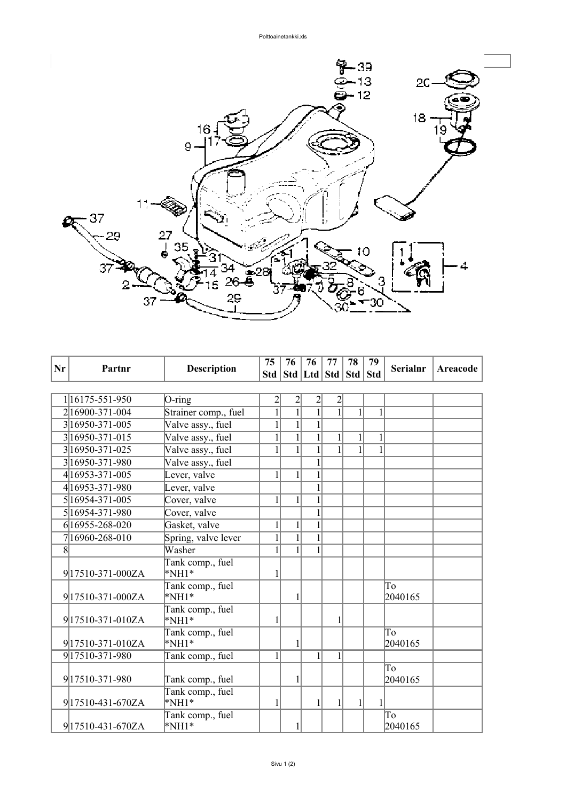

| Nr | Partnr              | <b>Description</b>        | 75             | 76                                | 76             | 77             | 78           | 79           | <b>Serialnr</b> | Areacode |
|----|---------------------|---------------------------|----------------|-----------------------------------|----------------|----------------|--------------|--------------|-----------------|----------|
|    |                     |                           |                | Std   Std   Ltd   Std   Std   Std |                |                |              |              |                 |          |
|    |                     |                           |                |                                   |                |                |              |              |                 |          |
|    | 116175-551-950      | $O$ -ring                 | $\overline{2}$ | $\overline{c}$                    | $\frac{2}{1}$  | $\overline{2}$ |              |              |                 |          |
|    | 2 16900-371-004     | Strainer comp., fuel      | $\overline{1}$ | $\overline{1}$                    |                | $\overline{1}$ | $\mathbf{1}$ | $\mathbf{1}$ |                 |          |
|    | 3 16950-371-005     | Valve assy., fuel         | $\mathbf{1}$   | $\mathbf{1}$                      | $\mathbf{1}$   |                |              |              |                 |          |
|    | 3 16950 - 371 - 015 | Valve assy., fuel         | $\mathbf{1}$   | $\overline{1}$                    | $\overline{1}$ |                | $\mathbf{1}$ | 1            |                 |          |
|    | 3 16950 - 371 - 025 | Valve assy., fuel         |                | $\mathbf{1}$                      | $\mathbf{1}$   |                |              | $\mathbf{1}$ |                 |          |
|    | 316950-371-980      | Valve assy., fuel         |                |                                   |                |                |              |              |                 |          |
|    | 4 16953-371-005     | Lever, valve              | $\mathbf{1}$   | $\mathbf{1}$                      | $\mathbf{1}$   |                |              |              |                 |          |
|    | 4 16953-371-980     | Lever, valve              |                |                                   | $\mathbf{1}$   |                |              |              |                 |          |
|    | 5 16954-371-005     | Cover, valve              | 1              | $\mathbf{1}$                      | $\mathbf{1}$   |                |              |              |                 |          |
|    | 5 16954-371-980     | Cover, valve              |                |                                   | $\mathbf{1}$   |                |              |              |                 |          |
|    | 6 16955-268-020     | Gasket, valve             | $\mathbf{1}$   | $\mathbf{1}$                      | $\mathbf{1}$   |                |              |              |                 |          |
|    | 716960-268-010      | Spring, valve lever       | 1              | $\overline{1}$                    | $\mathbf{1}$   |                |              |              |                 |          |
| 8  |                     | Washer                    | 1              | $\mathbf{1}$                      | $\overline{1}$ |                |              |              |                 |          |
|    |                     | Tank comp., fuel          |                |                                   |                |                |              |              |                 |          |
|    | 917510-371-000ZA    | $*NH1*$                   | 1              |                                   |                |                |              |              |                 |          |
|    | 917510-371-000ZA    | Tank comp., fuel<br>*NH1* |                | 1                                 |                |                |              |              | To<br>2040165   |          |
|    |                     | Tank comp., fuel          |                |                                   |                |                |              |              |                 |          |
|    | 917510-371-010ZA    | $*NH1*$                   | 1              |                                   |                | 1              |              |              |                 |          |
|    |                     | Tank comp., fuel          |                |                                   |                |                |              |              | To              |          |
|    | 917510-371-010ZA    | $*NH1*$                   |                |                                   |                |                |              |              | 2040165         |          |
|    | 917510-371-980      | Tank comp., fuel          | 1              |                                   | $\mathbf{1}$   | 1              |              |              |                 |          |
|    |                     |                           |                |                                   |                |                |              |              | To              |          |
|    | 917510-371-980      | Tank comp., fuel          |                | 1                                 |                |                |              |              | 2040165         |          |
|    |                     | Tank comp., fuel          |                |                                   |                |                |              |              |                 |          |
|    | 917510-431-670ZA    | $*NH1*$                   | 1              |                                   | $\mathbf{1}$   | 1              | $\mathbf{1}$ | 1            |                 |          |
|    |                     | Tank comp., fuel          |                |                                   |                |                |              |              | To              |          |
|    | 917510-431-670ZA    | $*NH1*$                   |                |                                   |                |                |              |              | 2040165         |          |